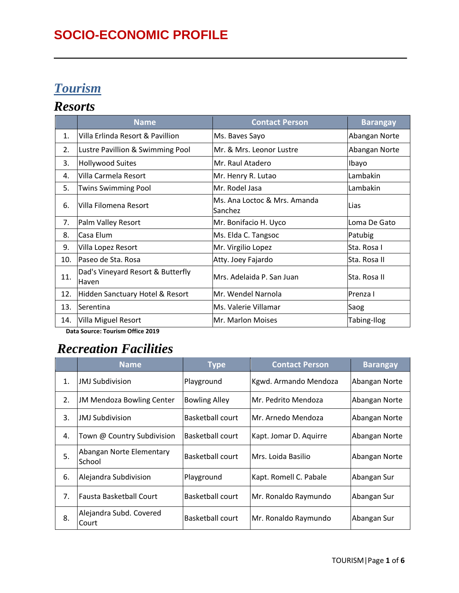# **SOCIO-ECONOMIC PROFILE**

# *Tourism*

#### *Resorts*

|     | <b>Name</b>                                | <b>Contact Person</b>                   | <b>Barangay</b> |
|-----|--------------------------------------------|-----------------------------------------|-----------------|
| 1.  | Villa Erlinda Resort & Pavillion           | Ms. Baves Sayo                          | Abangan Norte   |
| 2.  | Lustre Pavillion & Swimming Pool           | Mr. & Mrs. Leonor Lustre                | Abangan Norte   |
| 3.  | <b>Hollywood Suites</b>                    | Mr. Raul Atadero                        | Ibayo           |
| 4.  | Villa Carmela Resort                       | Mr. Henry R. Lutao                      | Lambakin        |
| 5.  | <b>Twins Swimming Pool</b>                 | Mr. Rodel Jasa                          | Lambakin        |
| 6.  | Villa Filomena Resort                      | Ms. Ana Loctoc & Mrs. Amanda<br>Sanchez | Lias            |
| 7.  | Palm Valley Resort                         | Mr. Bonifacio H. Uyco                   | Loma De Gato    |
| 8.  | Casa Elum                                  | Ms. Elda C. Tangsoc                     | Patubig         |
| 9.  | Villa Lopez Resort                         | Mr. Virgilio Lopez                      | Sta. Rosa I     |
| 10. | Paseo de Sta. Rosa                         | Atty. Joey Fajardo                      | Sta. Rosa II    |
| 11. | Dad's Vineyard Resort & Butterfly<br>Haven | Mrs. Adelaida P. San Juan               | Sta. Rosa II    |
| 12. | Hidden Sanctuary Hotel & Resort            | Mr. Wendel Narnola                      | Prenza I        |
| 13. | Serentina                                  | Ms. Valerie Villamar                    | Saog            |
| 14. | Villa Miguel Resort                        | Mr. Marlon Moises                       | Tabing-Ilog     |

 **Data Source: Tourism Office 2019**

# *Recreation Facilities*

|    | Name                               | <b>Type</b>          | <b>Contact Person</b>  | <b>Barangay</b> |
|----|------------------------------------|----------------------|------------------------|-----------------|
| 1. | <b>JMJ Subdivision</b>             | Playground           | Kgwd. Armando Mendoza  | Abangan Norte   |
| 2. | <b>JM Mendoza Bowling Center</b>   | <b>Bowling Alley</b> | Mr. Pedrito Mendoza    | Abangan Norte   |
| 3. | <b>JMJ Subdivision</b>             | Basketball court     | Mr. Arnedo Mendoza     | Abangan Norte   |
| 4. | Town @ Country Subdivision         | Basketball court     | Kapt. Jomar D. Aquirre | Abangan Norte   |
| 5. | Abangan Norte Elementary<br>School | Basketball court     | Mrs. Loida Basilio     | Abangan Norte   |
| 6. | Alejandra Subdivision              | Playground           | Kapt. Romell C. Pabale | Abangan Sur     |
| 7. | lFausta Basketball Court           | Basketball court     | Mr. Ronaldo Raymundo   | Abangan Sur     |
| 8. | Alejandra Subd. Covered<br>Court   | Basketball court     | Mr. Ronaldo Raymundo   | Abangan Sur     |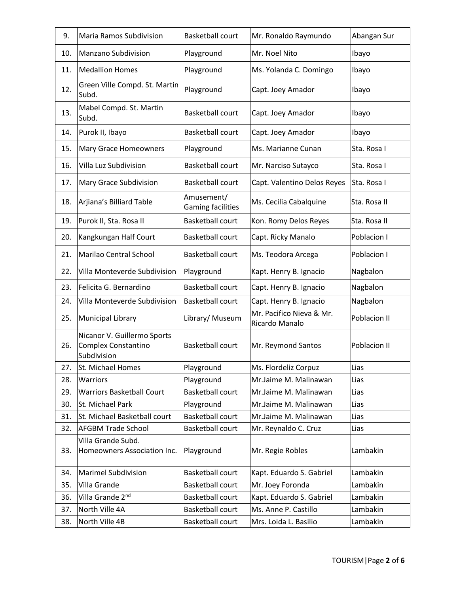| 9.  | <b>Maria Ramos Subdivision</b>                                    | <b>Basketball court</b>                | Mr. Ronaldo Raymundo                       | Abangan Sur  |
|-----|-------------------------------------------------------------------|----------------------------------------|--------------------------------------------|--------------|
| 10. | <b>Manzano Subdivision</b>                                        | Playground                             | Mr. Noel Nito                              | Ibayo        |
| 11. | <b>Medallion Homes</b>                                            | Playground                             | Ms. Yolanda C. Domingo                     | Ibayo        |
| 12. | Green Ville Compd. St. Martin<br>Subd.                            | Playground                             | Capt. Joey Amador                          | Ibayo        |
| 13. | Mabel Compd. St. Martin<br>Subd.                                  | <b>Basketball court</b>                | Capt. Joey Amador                          | Ibayo        |
| 14. | Purok II, Ibayo                                                   | <b>Basketball court</b>                | Capt. Joey Amador                          | Ibayo        |
| 15. | Mary Grace Homeowners                                             | Playground                             | Ms. Marianne Cunan                         | Sta. Rosa I  |
| 16. | Villa Luz Subdivision                                             | <b>Basketball court</b>                | Mr. Narciso Sutayco                        | Sta. Rosa I  |
| 17. | <b>Mary Grace Subdivision</b>                                     | <b>Basketball court</b>                | Capt. Valentino Delos Reyes                | Sta. Rosa I  |
| 18. | Arjiana's Billiard Table                                          | Amusement/<br><b>Gaming facilities</b> | Ms. Cecilia Cabalquine                     | Sta. Rosa II |
| 19. | Purok II, Sta. Rosa II                                            | <b>Basketball court</b>                | Kon. Romy Delos Reyes                      | Sta. Rosa II |
| 20. | Kangkungan Half Court                                             | <b>Basketball court</b>                | Capt. Ricky Manalo                         | Poblacion I  |
| 21. | Marilao Central School                                            | <b>Basketball court</b>                | Ms. Teodora Arcega                         | Poblacion I  |
| 22. | Villa Monteverde Subdivision                                      | Playground                             | Kapt. Henry B. Ignacio                     | Nagbalon     |
| 23. | Felicita G. Bernardino                                            | <b>Basketball court</b>                | Capt. Henry B. Ignacio                     | Nagbalon     |
| 24. | Villa Monteverde Subdivision                                      | <b>Basketball court</b>                | Capt. Henry B. Ignacio                     | Nagbalon     |
| 25. | Municipal Library                                                 | Library/ Museum                        | Mr. Pacifico Nieva & Mr.<br>Ricardo Manalo | Poblacion II |
| 26. | Nicanor V. Guillermo Sports<br>Complex Constantino<br>Subdivision | <b>Basketball court</b>                | Mr. Reymond Santos                         | Poblacion II |
| 27. | St. Michael Homes                                                 | Playground                             | Ms. Flordeliz Corpuz                       | Lias         |
| 28. | Warriors                                                          | Playground                             | Mr.Jaime M. Malinawan                      | Lias         |
| 29. | <b>Warriors Basketball Court</b>                                  | <b>Basketball court</b>                | Mr.Jaime M. Malinawan                      | Lias         |
| 30. | St. Michael Park                                                  | Playground                             | Mr.Jaime M. Malinawan                      | Lias         |
| 31. | St. Michael Basketball court                                      | <b>Basketball court</b>                | Mr.Jaime M. Malinawan                      | Lias         |
| 32. | <b>AFGBM Trade School</b>                                         | <b>Basketball court</b>                | Mr. Reynaldo C. Cruz                       | Lias         |
| 33. | Villa Grande Subd.<br>Homeowners Association Inc.                 | Playground                             | Mr. Regie Robles                           | Lambakin     |
| 34. | <b>Marimel Subdivision</b>                                        | <b>Basketball court</b>                | Kapt. Eduardo S. Gabriel                   | Lambakin     |
| 35. | Villa Grande                                                      | <b>Basketball court</b>                | Mr. Joey Foronda                           | Lambakin     |
| 36. | Villa Grande 2 <sup>nd</sup>                                      | <b>Basketball court</b>                | Kapt. Eduardo S. Gabriel                   | Lambakin     |
| 37. | North Ville 4A                                                    | <b>Basketball court</b>                | Ms. Anne P. Castillo                       | Lambakin     |
| 38. | North Ville 4B                                                    | <b>Basketball court</b>                | Mrs. Loida L. Basilio                      | Lambakin     |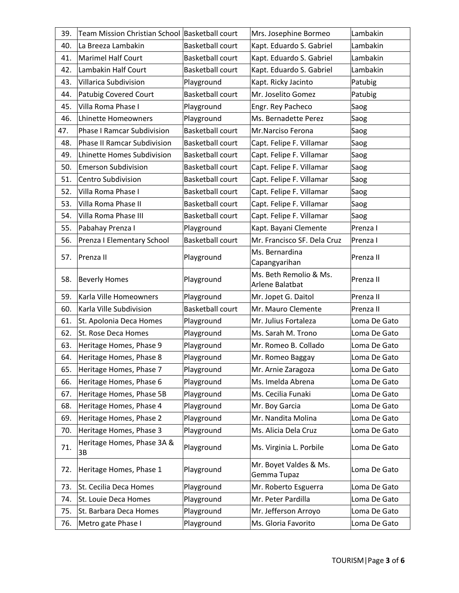| 39. | Team Mission Christian School Basketball court |                         | Mrs. Josephine Bormeo                     | Lambakin     |
|-----|------------------------------------------------|-------------------------|-------------------------------------------|--------------|
| 40. | La Breeza Lambakin                             | <b>Basketball court</b> | Kapt. Eduardo S. Gabriel                  | Lambakin     |
| 41. | Marimel Half Court                             | <b>Basketball court</b> | Kapt. Eduardo S. Gabriel                  | Lambakin     |
| 42. | Lambakin Half Court                            | <b>Basketball court</b> | Kapt. Eduardo S. Gabriel                  | Lambakin     |
| 43. | Villarica Subdivision                          | Playground              | Kapt. Ricky Jacinto                       | Patubig      |
| 44. | <b>Patubig Covered Court</b>                   | <b>Basketball court</b> | Mr. Joselito Gomez                        | Patubig      |
| 45. | Villa Roma Phase I                             | Playground              | Engr. Rey Pacheco                         | Saog         |
| 46. | Lhinette Homeowners                            | Playground              | Ms. Bernadette Perez                      | Saog         |
| 47. | <b>Phase I Ramcar Subdivision</b>              | <b>Basketball court</b> | Mr.Narciso Ferona                         | Saog         |
| 48. | Phase II Ramcar Subdivision                    | <b>Basketball court</b> | Capt. Felipe F. Villamar                  | Saog         |
| 49. | Lhinette Homes Subdivision                     | <b>Basketball court</b> | Capt. Felipe F. Villamar                  | Saog         |
| 50. | <b>Emerson Subdivision</b>                     | Basketball court        | Capt. Felipe F. Villamar                  | Saog         |
| 51. | Centro Subdivision                             | <b>Basketball court</b> | Capt. Felipe F. Villamar                  | Saog         |
| 52. | Villa Roma Phase I                             | <b>Basketball court</b> | Capt. Felipe F. Villamar                  | Saog         |
| 53. | Villa Roma Phase II                            | <b>Basketball court</b> | Capt. Felipe F. Villamar                  | Saog         |
| 54. | Villa Roma Phase III                           | <b>Basketball court</b> | Capt. Felipe F. Villamar                  | Saog         |
| 55. | Pabahay Prenza I                               | Playground              | Kapt. Bayani Clemente                     | Prenza I     |
| 56. | Prenza I Elementary School                     | <b>Basketball court</b> | Mr. Francisco SF. Dela Cruz               | Prenza I     |
| 57. | Prenza II                                      | Playground              | Ms. Bernardina<br>Capangyarihan           | Prenza II    |
| 58. | <b>Beverly Homes</b>                           | Playground              | Ms. Beth Remolio & Ms.<br>Arlene Balatbat | Prenza II    |
| 59. | Karla Ville Homeowners                         | Playground              | Mr. Jopet G. Daitol                       | Prenza II    |
| 60. | Karla Ville Subdivision                        | <b>Basketball court</b> | Mr. Mauro Clemente                        | Prenza II    |
| 61. | St. Apolonia Deca Homes                        | Playground              | Mr. Julius Fortaleza                      | Loma De Gato |
| 62. | St. Rose Deca Homes                            | Playground              | Ms. Sarah M. Trono                        | Loma De Gato |
| 63. | Heritage Homes, Phase 9                        | Playground              | Mr. Romeo B. Collado                      | Loma De Gato |
| 64. | Heritage Homes, Phase 8                        | Playground              | Mr. Romeo Baggay                          | Loma De Gato |
| 65. | Heritage Homes, Phase 7                        | Playground              | Mr. Arnie Zaragoza                        | Loma De Gato |
| 66. | Heritage Homes, Phase 6                        | Playground              | Ms. Imelda Abrena                         | Loma De Gato |
| 67. | Heritage Homes, Phase 5B                       | Playground              | Ms. Cecilia Funaki                        | Loma De Gato |
| 68. | Heritage Homes, Phase 4                        | Playground              | Mr. Boy Garcia                            | Loma De Gato |
| 69. | Heritage Homes, Phase 2                        | Playground              | Mr. Nandita Molina                        | Loma De Gato |
| 70. | Heritage Homes, Phase 3                        | Playground              | Ms. Alicia Dela Cruz                      | Loma De Gato |
| 71. | Heritage Homes, Phase 3A &<br>3B               | Playground              | Ms. Virginia L. Porbile                   | Loma De Gato |
| 72. | Heritage Homes, Phase 1                        | Playground              | Mr. Boyet Valdes & Ms.<br>Gemma Tupaz     | Loma De Gato |
| 73. | St. Cecilia Deca Homes                         | Playground              | Mr. Roberto Esguerra                      | Loma De Gato |
| 74. | St. Louie Deca Homes                           | Playground              | Mr. Peter Pardilla                        | Loma De Gato |
| 75. | St. Barbara Deca Homes                         | Playground              | Mr. Jefferson Arroyo                      | Loma De Gato |
| 76. | Metro gate Phase I                             | Playground              | Ms. Gloria Favorito                       | Loma De Gato |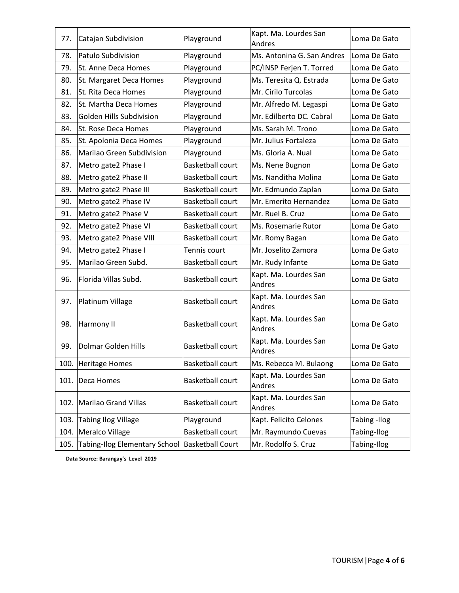| 77.  | Catajan Subdivision                            | Playground              | Kapt. Ma. Lourdes San<br>Andres        | Loma De Gato |
|------|------------------------------------------------|-------------------------|----------------------------------------|--------------|
| 78.  | Patulo Subdivision                             | Playground              | Ms. Antonina G. San Andres             | Loma De Gato |
| 79.  | St. Anne Deca Homes                            | Playground              | PC/INSP Ferjen T. Torred               | Loma De Gato |
| 80.  | St. Margaret Deca Homes                        | Playground              | Ms. Teresita Q. Estrada                | Loma De Gato |
| 81.  | St. Rita Deca Homes                            | Playground              | Mr. Cirilo Turcolas                    | Loma De Gato |
| 82.  | St. Martha Deca Homes                          | Playground              | Mr. Alfredo M. Legaspi                 | Loma De Gato |
| 83.  | Golden Hills Subdivision                       | Playground              | Mr. Edilberto DC. Cabral               | Loma De Gato |
| 84.  | St. Rose Deca Homes                            | Playground              | Ms. Sarah M. Trono                     | Loma De Gato |
| 85.  | St. Apolonia Deca Homes                        | Playground              | Mr. Julius Fortaleza                   | Loma De Gato |
| 86.  | Marilao Green Subdivision                      | Playground              | Ms. Gloria A. Nual                     | Loma De Gato |
| 87.  | Metro gate2 Phase I                            | <b>Basketball court</b> | Ms. Nene Bugnon                        | Loma De Gato |
| 88.  | Metro gate2 Phase II                           | <b>Basketball court</b> | Ms. Nanditha Molina                    | Loma De Gato |
| 89.  | Metro gate2 Phase III                          | <b>Basketball court</b> | Mr. Edmundo Zaplan                     | Loma De Gato |
| 90.  | Metro gate2 Phase IV                           | <b>Basketball court</b> | Mr. Emerito Hernandez                  | Loma De Gato |
| 91.  | Metro gate2 Phase V                            | <b>Basketball court</b> | Mr. Ruel B. Cruz                       | Loma De Gato |
| 92.  | Metro gate2 Phase VI                           | <b>Basketball court</b> | Ms. Rosemarie Rutor                    | Loma De Gato |
| 93.  | Metro gate2 Phase VIII                         | <b>Basketball court</b> | Mr. Romy Bagan                         | Loma De Gato |
| 94.  | Metro gate2 Phase I                            | Tennis court            | Mr. Joselito Zamora                    | Loma De Gato |
| 95.  | Marilao Green Subd.                            | <b>Basketball court</b> | Mr. Rudy Infante                       | Loma De Gato |
| 96.  | Florida Villas Subd.                           | <b>Basketball court</b> | Kapt. Ma. Lourdes San<br><b>Andres</b> | Loma De Gato |
| 97.  | Platinum Village                               | <b>Basketball court</b> | Kapt. Ma. Lourdes San<br>Andres        | Loma De Gato |
| 98.  | Harmony II                                     | <b>Basketball court</b> | Kapt. Ma. Lourdes San<br>Andres        | Loma De Gato |
| 99.  | Dolmar Golden Hills                            | <b>Basketball court</b> | Kapt. Ma. Lourdes San<br>Andres        | Loma De Gato |
|      | 100. Heritage Homes                            | <b>Basketball court</b> | Ms. Rebecca M. Bulaong                 | Loma De Gato |
| 101. | Deca Homes                                     | <b>Basketball court</b> | Kapt. Ma. Lourdes San<br>Andres        | Loma De Gato |
|      | 102. Marilao Grand Villas                      | <b>Basketball court</b> | Kapt. Ma. Lourdes San<br>Andres        | Loma De Gato |
| 103. | <b>Tabing Ilog Village</b>                     | Playground              | Kapt. Felicito Celones                 | Tabing -Ilog |
| 104. | Meralco Village                                | <b>Basketball court</b> | Mr. Raymundo Cuevas                    | Tabing-Ilog  |
| 105. | Tabing-Ilog Elementary School Basketball Court |                         | Mr. Rodolfo S. Cruz                    | Tabing-Ilog  |

 **Data Source: Barangay's Level 2019**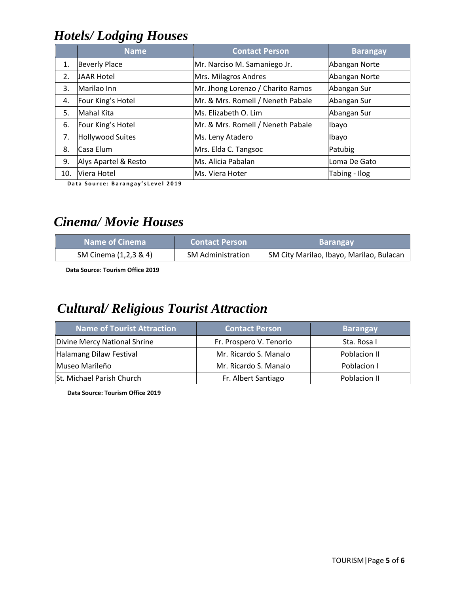# *Hotels/ Lodging Houses*

|     | <b>Name</b>          | <b>Contact Person</b>             | <b>Barangay</b> |
|-----|----------------------|-----------------------------------|-----------------|
| 1.  | <b>Beverly Place</b> | Mr. Narciso M. Samaniego Jr.      | Abangan Norte   |
| 2.  | <b>JAAR Hotel</b>    | Mrs. Milagros Andres              | Abangan Norte   |
| 3.  | Marilao Inn          | Mr. Jhong Lorenzo / Charito Ramos | Abangan Sur     |
| 4.  | Four King's Hotel    | Mr. & Mrs. Romell / Neneth Pabale | Abangan Sur     |
| 5.  | Mahal Kita           | Ms. Elizabeth O. Lim              | Abangan Sur     |
| 6.  | Four King's Hotel    | Mr. & Mrs. Romell / Neneth Pabale | Ibayo           |
| 7.  | Hollywood Suites     | Ms. Leny Atadero                  | Ibayo           |
| 8.  | Casa Elum            | Mrs. Elda C. Tangsoc              | Patubig         |
| 9.  | Alys Apartel & Resto | Ms. Alicia Pabalan                | Loma De Gato    |
| 10. | Viera Hotel          | Ms. Viera Hoter                   | Tabing - Ilog   |

**Data Source: Barangay's Level 2019** 

#### *Cinema/ Movie Houses*

| <b>Name of Cinema</b> | <b>Contact Person</b>    | <b>Barangay</b>                          |
|-----------------------|--------------------------|------------------------------------------|
| SM Cinema (1,2,3 & 4) | <b>SM Administration</b> | SM City Marilao, Ibayo, Marilao, Bulacan |

 **Data Source: Tourism Office 2019**

#### *Cultural/ Religious Tourist Attraction*

| <b>Name of Tourist Attraction</b> | <b>Contact Person</b>   | <b>Barangay</b> |
|-----------------------------------|-------------------------|-----------------|
| Divine Mercy National Shrine      | Fr. Prospero V. Tenorio | Sta. Rosa I     |
| Halamang Dilaw Festival           | Mr. Ricardo S. Manalo   | Poblacion II    |
| Museo Marileño                    | Mr. Ricardo S. Manalo   | Poblacion I     |
| St. Michael Parish Church         | Fr. Albert Santiago     | Poblacion II    |

 **Data Source: Tourism Office 2019**